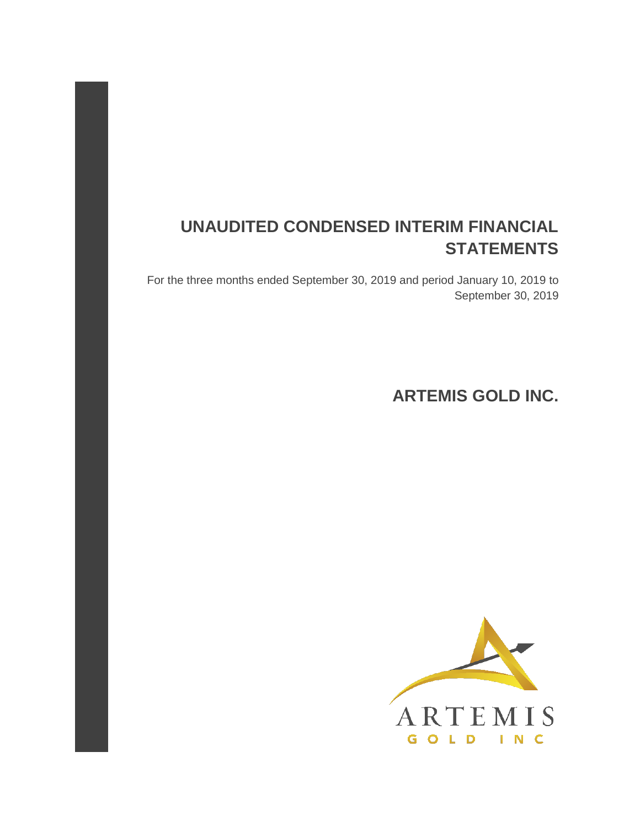# **UNAUDITED CONDENSED INTERIM FINANCIAL STATEMENTS**

For the three months ended September 30, 2019 and period January 10, 2019 to September 30, 2019

**ARTEMIS GOLD INC.** 

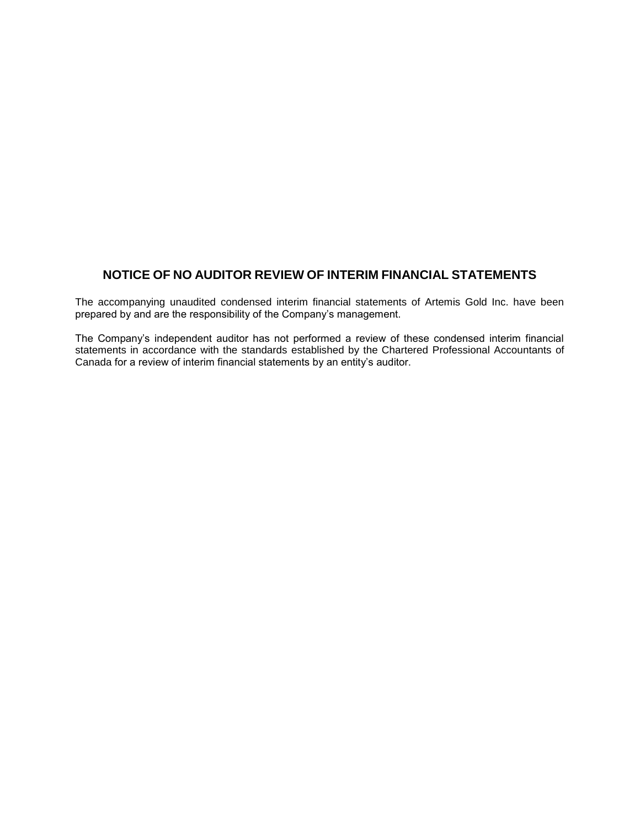### **NOTICE OF NO AUDITOR REVIEW OF INTERIM FINANCIAL STATEMENTS**

The accompanying unaudited condensed interim financial statements of Artemis Gold Inc. have been prepared by and are the responsibility of the Company's management.

The Company's independent auditor has not performed a review of these condensed interim financial statements in accordance with the standards established by the Chartered Professional Accountants of Canada for a review of interim financial statements by an entity's auditor.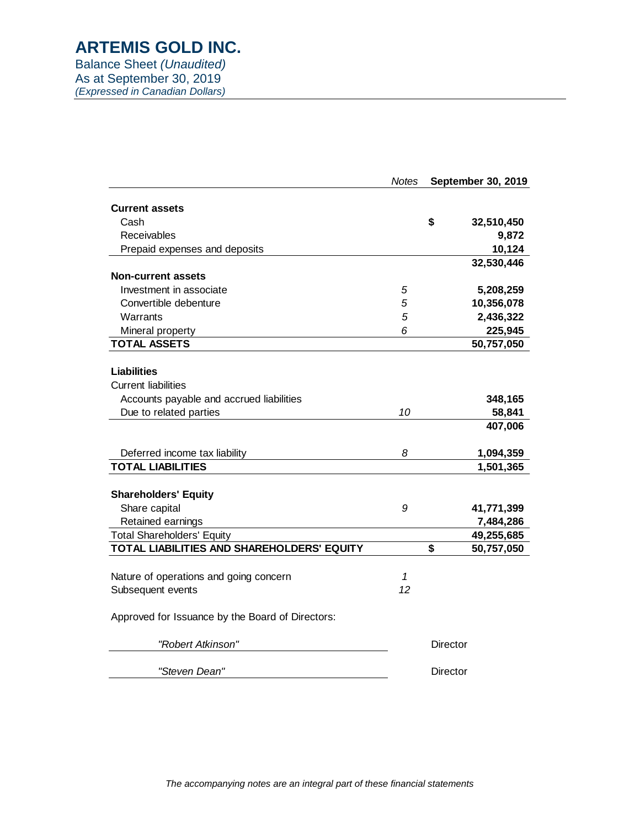Balance Sheet *(Unaudited)* As at September 30, 2019 *(Expressed in Canadian Dollars)*

|                                                  | <b>Notes</b> | September 30, 2019 |            |  |  |
|--------------------------------------------------|--------------|--------------------|------------|--|--|
| <b>Current assets</b>                            |              |                    |            |  |  |
| Cash                                             |              | \$                 | 32,510,450 |  |  |
| Receivables                                      |              |                    | 9,872      |  |  |
| Prepaid expenses and deposits                    |              |                    | 10,124     |  |  |
|                                                  |              |                    | 32,530,446 |  |  |
| <b>Non-current assets</b>                        |              |                    |            |  |  |
| Investment in associate                          | 5            |                    | 5,208,259  |  |  |
| Convertible debenture                            | 5            |                    | 10,356,078 |  |  |
| Warrants                                         | 5            |                    | 2,436,322  |  |  |
| Mineral property                                 | 6            |                    | 225,945    |  |  |
| <b>TOTAL ASSETS</b>                              |              |                    | 50,757,050 |  |  |
|                                                  |              |                    |            |  |  |
| <b>Liabilities</b>                               |              |                    |            |  |  |
| <b>Current liabilities</b>                       |              |                    |            |  |  |
| Accounts payable and accrued liabilities         |              |                    | 348,165    |  |  |
| Due to related parties                           | 10           |                    | 58,841     |  |  |
|                                                  |              |                    | 407,006    |  |  |
| Deferred income tax liability                    | 8            |                    | 1,094,359  |  |  |
| <b>TOTAL LIABILITIES</b>                         |              |                    | 1,501,365  |  |  |
|                                                  |              |                    |            |  |  |
| <b>Shareholders' Equity</b>                      |              |                    |            |  |  |
| Share capital                                    | 9            |                    | 41,771,399 |  |  |
| Retained earnings                                |              |                    | 7,484,286  |  |  |
| <b>Total Shareholders' Equity</b>                |              |                    | 49,255,685 |  |  |
| TOTAL LIABILITIES AND SHAREHOLDERS' EQUITY       |              | \$                 | 50,757,050 |  |  |
|                                                  |              |                    |            |  |  |
| Nature of operations and going concern           | 1            |                    |            |  |  |
| Subsequent events                                | 12           |                    |            |  |  |
| Approved for Issuance by the Board of Directors: |              |                    |            |  |  |
| "Robert Atkinson"                                |              | Director           |            |  |  |
| "Steven Dean"                                    |              | Director           |            |  |  |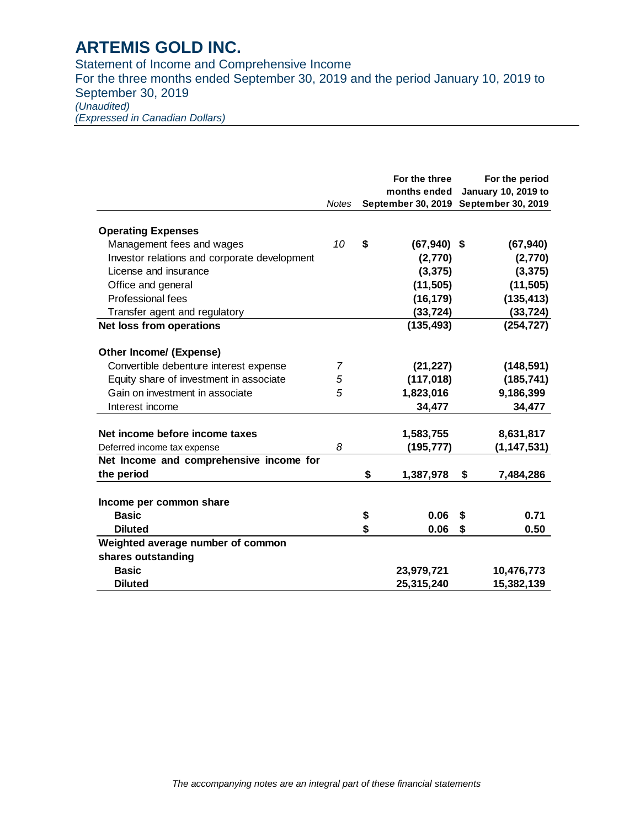Statement of Income and Comprehensive Income For the three months ended September 30, 2019 and the period January 10, 2019 to September 30, 2019 *(Unaudited) (Expressed in Canadian Dollars)*

|                                              |              | For the three<br>months ended | For the period                                   |
|----------------------------------------------|--------------|-------------------------------|--------------------------------------------------|
|                                              | <b>Notes</b> | September 30, 2019            | <b>January 10, 2019 to</b><br>September 30, 2019 |
|                                              |              |                               |                                                  |
| <b>Operating Expenses</b>                    |              |                               |                                                  |
| Management fees and wages                    | 10           | \$<br>$(67,940)$ \$           | (67, 940)                                        |
| Investor relations and corporate development |              | (2,770)                       | (2,770)                                          |
| License and insurance                        |              | (3, 375)                      | (3, 375)                                         |
| Office and general                           |              | (11, 505)                     | (11, 505)                                        |
| Professional fees                            |              | (16, 179)                     | (135, 413)                                       |
| Transfer agent and regulatory                |              | (33, 724)                     | (33, 724)                                        |
| Net loss from operations                     |              | (135, 493)                    | (254, 727)                                       |
| <b>Other Income/ (Expense)</b>               |              |                               |                                                  |
| Convertible debenture interest expense       | 7            | (21, 227)                     | (148, 591)                                       |
| Equity share of investment in associate      | 5            | (117, 018)                    | (185, 741)                                       |
| Gain on investment in associate              | 5            | 1,823,016                     | 9,186,399                                        |
| Interest income                              |              | 34,477                        | 34,477                                           |
|                                              |              |                               |                                                  |
| Net income before income taxes               |              | 1,583,755                     | 8,631,817                                        |
| Deferred income tax expense                  | 8            | (195,777)                     | (1,147,531)                                      |
| Net Income and comprehensive income for      |              |                               |                                                  |
| the period                                   |              | \$<br>1,387,978               | \$<br>7,484,286                                  |
| Income per common share                      |              |                               |                                                  |
| <b>Basic</b>                                 |              | \$<br>0.06                    | 0.71<br>\$                                       |
| <b>Diluted</b>                               |              | \$<br>0.06                    | \$<br>0.50                                       |
| Weighted average number of common            |              |                               |                                                  |
| shares outstanding                           |              |                               |                                                  |
| <b>Basic</b>                                 |              | 23,979,721                    | 10,476,773                                       |
| <b>Diluted</b>                               |              | 25,315,240                    | 15,382,139                                       |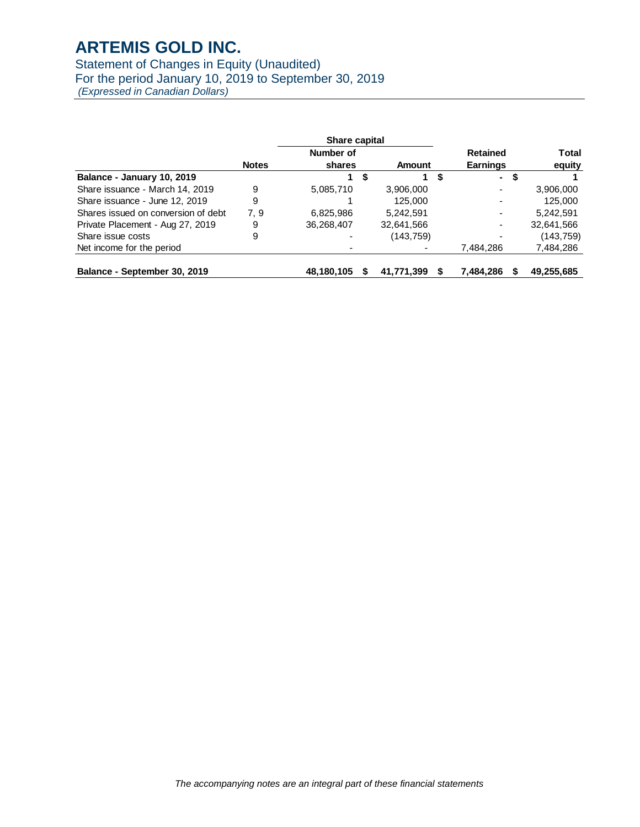### Statement of Changes in Equity (Unaudited) For the period January 10, 2019 to September 30, 2019

*(Expressed in Canadian Dollars)*

|                                     |              | <b>Share capital</b> |   |                 |   |                          |            |
|-------------------------------------|--------------|----------------------|---|-----------------|---|--------------------------|------------|
|                                     |              | Number of            |   |                 |   | <b>Retained</b>          | Total      |
|                                     | <b>Notes</b> | shares<br>Amount     |   | <b>Earnings</b> |   | equity                   |            |
| Balance - January 10, 2019          |              |                      | S |                 | S | $\blacksquare$           | \$         |
| Share issuance - March 14, 2019     | 9            | 5,085,710            |   | 3,906,000       |   | -                        | 3,906,000  |
| Share issuance - June 12, 2019      | 9            |                      |   | 125,000         |   | $\overline{\phantom{0}}$ | 125,000    |
| Shares issued on conversion of debt | 7, 9         | 6,825,986            |   | 5.242.591       |   | $\overline{\phantom{0}}$ | 5.242.591  |
| Private Placement - Aug 27, 2019    | 9            | 36,268,407           |   | 32,641,566      |   | -                        | 32,641,566 |
| Share issue costs                   | 9            |                      |   | (143, 759)      |   |                          | (143, 759) |
| Net income for the period           |              |                      |   |                 |   | 7,484,286                | 7,484,286  |
|                                     |              |                      |   |                 |   |                          |            |
| Balance - September 30, 2019        |              | 48,180,105           |   | 41,771,399      |   | 7,484,286                | 49,255,685 |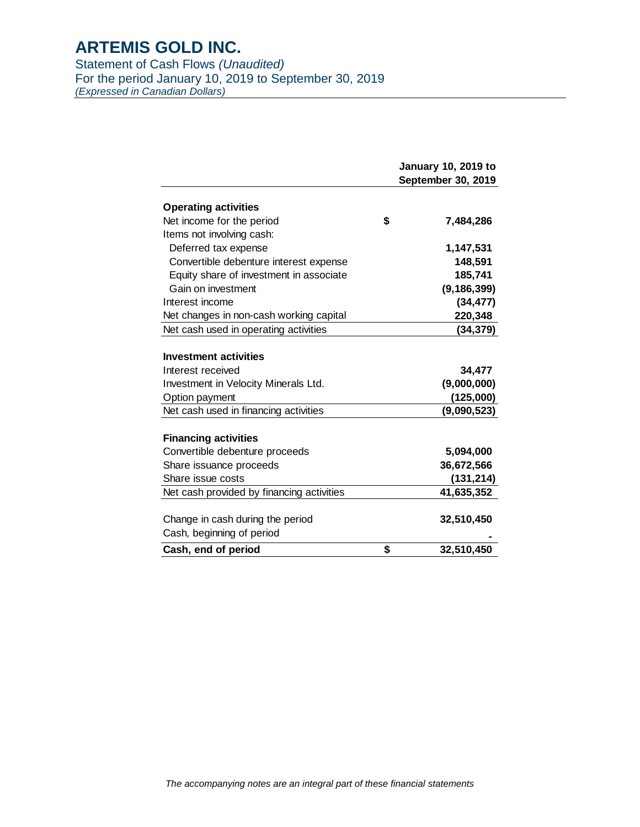Statement of Cash Flows *(Unaudited)* For the period January 10, 2019 to September 30, 2019 *(Expressed in Canadian Dollars)*

|                                                   | <b>January 10, 2019 to</b><br>September 30, 2019 |
|---------------------------------------------------|--------------------------------------------------|
| <b>Operating activities</b>                       |                                                  |
| Net income for the period                         | \$<br>7,484,286                                  |
| Items not involving cash:                         |                                                  |
| Deferred tax expense                              | 1,147,531                                        |
| Convertible debenture interest expense            | 148,591                                          |
| Equity share of investment in associate           | 185,741                                          |
| Gain on investment                                | (9, 186, 399)                                    |
| Interest income                                   | (34, 477)                                        |
| Net changes in non-cash working capital           | 220,348                                          |
| Net cash used in operating activities             | (34, 379)                                        |
| <b>Investment activities</b><br>Interest received | 34,477                                           |
| Investment in Velocity Minerals Ltd.              | (9,000,000)                                      |
| Option payment                                    | (125,000)                                        |
| Net cash used in financing activities             | (9,090,523)                                      |
| <b>Financing activities</b>                       |                                                  |
| Convertible debenture proceeds                    | 5,094,000                                        |
| Share issuance proceeds                           | 36,672,566                                       |
| Share issue costs                                 | (131,214)                                        |
| Net cash provided by financing activities         | 41,635,352                                       |
| Change in cash during the period                  | 32,510,450                                       |
| Cash, beginning of period                         |                                                  |
| Cash, end of period                               | \$<br>32,510,450                                 |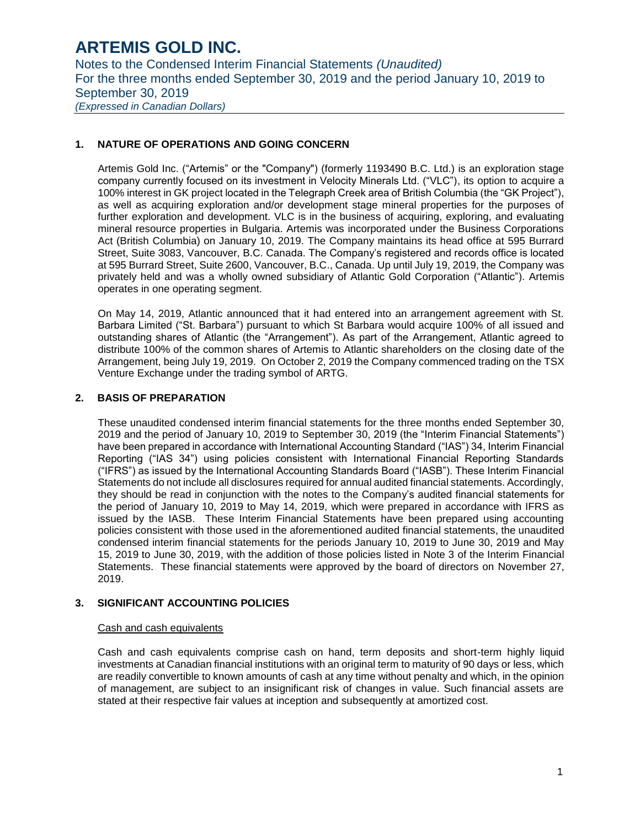Notes to the Condensed Interim Financial Statements *(Unaudited)* For the three months ended September 30, 2019 and the period January 10, 2019 to September 30, 2019 *(Expressed in Canadian Dollars)*

#### **1. NATURE OF OPERATIONS AND GOING CONCERN**

Artemis Gold Inc. ("Artemis" or the "Company") (formerly 1193490 B.C. Ltd.) is an exploration stage company currently focused on its investment in Velocity Minerals Ltd. ("VLC"), its option to acquire a 100% interest in GK project located in the Telegraph Creek area of British Columbia (the "GK Project"), as well as acquiring exploration and/or development stage mineral properties for the purposes of further exploration and development. VLC is in the business of acquiring, exploring, and evaluating mineral resource properties in Bulgaria. Artemis was incorporated under the Business Corporations Act (British Columbia) on January 10, 2019. The Company maintains its head office at 595 Burrard Street, Suite 3083, Vancouver, B.C. Canada. The Company's registered and records office is located at 595 Burrard Street, Suite 2600, Vancouver, B.C., Canada. Up until July 19, 2019, the Company was privately held and was a wholly owned subsidiary of Atlantic Gold Corporation ("Atlantic"). Artemis operates in one operating segment.

On May 14, 2019, Atlantic announced that it had entered into an arrangement agreement with St. Barbara Limited ("St. Barbara") pursuant to which St Barbara would acquire 100% of all issued and outstanding shares of Atlantic (the "Arrangement"). As part of the Arrangement, Atlantic agreed to distribute 100% of the common shares of Artemis to Atlantic shareholders on the closing date of the Arrangement, being July 19, 2019. On October 2, 2019 the Company commenced trading on the TSX Venture Exchange under the trading symbol of ARTG.

#### **2. BASIS OF PREPARATION**

These unaudited condensed interim financial statements for the three months ended September 30, 2019 and the period of January 10, 2019 to September 30, 2019 (the "Interim Financial Statements") have been prepared in accordance with International Accounting Standard ("IAS") 34, Interim Financial Reporting ("IAS 34") using policies consistent with International Financial Reporting Standards ("IFRS") as issued by the International Accounting Standards Board ("IASB"). These Interim Financial Statements do not include all disclosures required for annual audited financial statements. Accordingly, they should be read in conjunction with the notes to the Company's audited financial statements for the period of January 10, 2019 to May 14, 2019, which were prepared in accordance with IFRS as issued by the IASB. These Interim Financial Statements have been prepared using accounting policies consistent with those used in the aforementioned audited financial statements, the unaudited condensed interim financial statements for the periods January 10, 2019 to June 30, 2019 and May 15, 2019 to June 30, 2019, with the addition of those policies listed in Note 3 of the Interim Financial Statements. These financial statements were approved by the board of directors on November 27, 2019.

#### **3. SIGNIFICANT ACCOUNTING POLICIES**

#### Cash and cash equivalents

Cash and cash equivalents comprise cash on hand, term deposits and short-term highly liquid investments at Canadian financial institutions with an original term to maturity of 90 days or less, which are readily convertible to known amounts of cash at any time without penalty and which, in the opinion of management, are subject to an insignificant risk of changes in value. Such financial assets are stated at their respective fair values at inception and subsequently at amortized cost.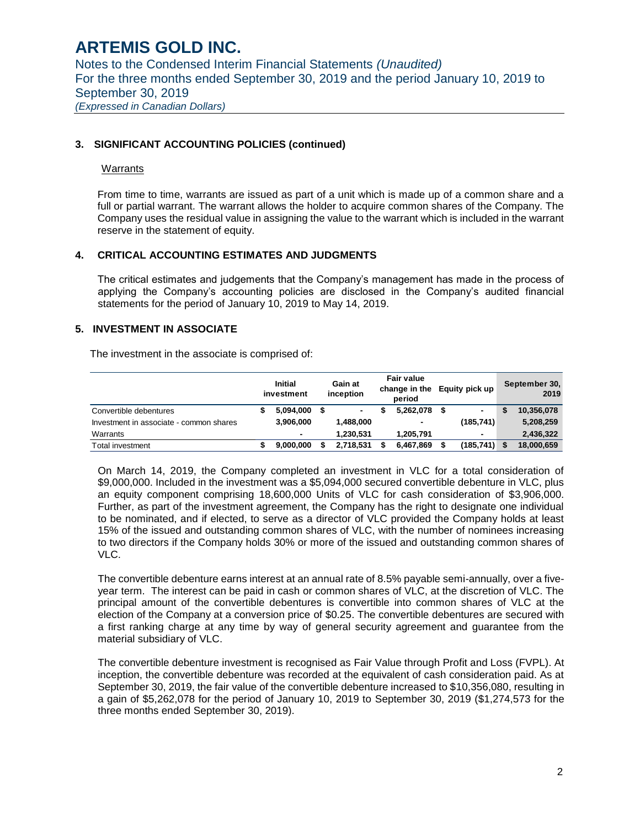Notes to the Condensed Interim Financial Statements *(Unaudited)* For the three months ended September 30, 2019 and the period January 10, 2019 to September 30, 2019 *(Expressed in Canadian Dollars)*

#### **3. SIGNIFICANT ACCOUNTING POLICIES (continued)**

#### Warrants

From time to time, warrants are issued as part of a unit which is made up of a common share and a full or partial warrant. The warrant allows the holder to acquire common shares of the Company. The Company uses the residual value in assigning the value to the warrant which is included in the warrant reserve in the statement of equity.

#### **4. CRITICAL ACCOUNTING ESTIMATES AND JUDGMENTS**

The critical estimates and judgements that the Company's management has made in the process of applying the Company's accounting policies are disclosed in the Company's audited financial statements for the period of January 10, 2019 to May 14, 2019.

#### **5. INVESTMENT IN ASSOCIATE**

The investment in the associate is comprised of:

|                                         | <b>Initial</b><br>investment | Gain at<br>inception | <b>Fair value</b><br>change in the<br>period | Equity pick up |    | September 30,<br>2019 |
|-----------------------------------------|------------------------------|----------------------|----------------------------------------------|----------------|----|-----------------------|
| Convertible debentures                  | 5,094,000                    | ٠                    | 5.262.078                                    | $\blacksquare$ |    | 10,356,078            |
| Investment in associate - common shares | 3.906.000                    | 1,488,000            | ۰                                            | (185,741)      |    | 5,208,259             |
| Warrants                                | $\blacksquare$               | 1.230.531            | 1.205.791                                    | $\blacksquare$ |    | 2,436,322             |
| Total investment                        | 9,000,000                    | 2.718.531            | 6,467,869                                    | (185, 741)     | -S | 18,000,659            |

On March 14, 2019, the Company completed an investment in VLC for a total consideration of \$9,000,000. Included in the investment was a \$5,094,000 secured convertible debenture in VLC, plus an equity component comprising 18,600,000 Units of VLC for cash consideration of \$3,906,000. Further, as part of the investment agreement, the Company has the right to designate one individual to be nominated, and if elected, to serve as a director of VLC provided the Company holds at least 15% of the issued and outstanding common shares of VLC, with the number of nominees increasing to two directors if the Company holds 30% or more of the issued and outstanding common shares of VLC.

The convertible debenture earns interest at an annual rate of 8.5% payable semi-annually, over a fiveyear term. The interest can be paid in cash or common shares of VLC, at the discretion of VLC. The principal amount of the convertible debentures is convertible into common shares of VLC at the election of the Company at a conversion price of \$0.25. The convertible debentures are secured with a first ranking charge at any time by way of general security agreement and guarantee from the material subsidiary of VLC.

The convertible debenture investment is recognised as Fair Value through Profit and Loss (FVPL). At inception, the convertible debenture was recorded at the equivalent of cash consideration paid. As at September 30, 2019, the fair value of the convertible debenture increased to \$10,356,080, resulting in a gain of \$5,262,078 for the period of January 10, 2019 to September 30, 2019 (\$1,274,573 for the three months ended September 30, 2019).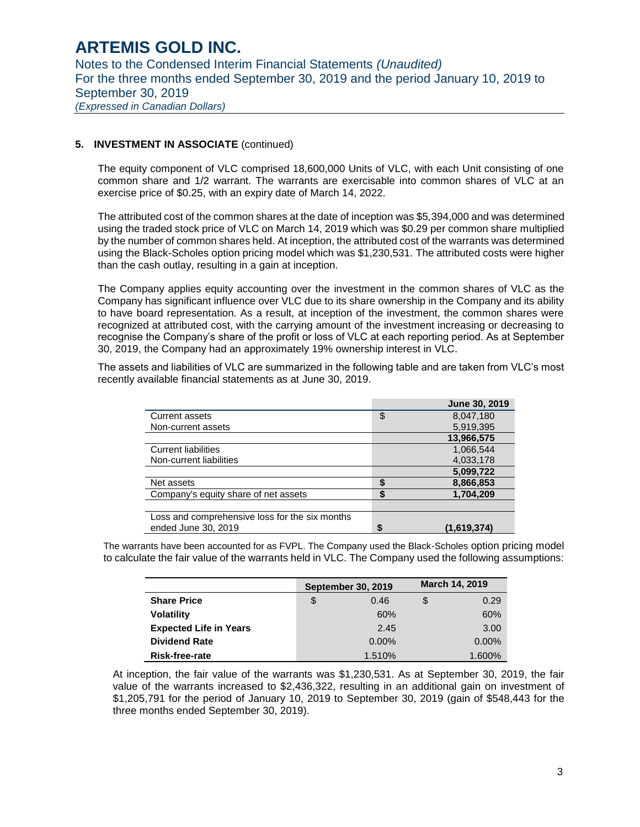Notes to the Condensed Interim Financial Statements *(Unaudited)* For the three months ended September 30, 2019 and the period January 10, 2019 to September 30, 2019 *(Expressed in Canadian Dollars)*

#### **5. INVESTMENT IN ASSOCIATE** (continued)

The equity component of VLC comprised 18,600,000 Units of VLC, with each Unit consisting of one common share and 1/2 warrant. The warrants are exercisable into common shares of VLC at an exercise price of \$0.25, with an expiry date of March 14, 2022.

The attributed cost of the common shares at the date of inception was \$5,394,000 and was determined using the traded stock price of VLC on March 14, 2019 which was \$0.29 per common share multiplied by the number of common shares held. At inception, the attributed cost of the warrants was determined using the Black-Scholes option pricing model which was \$1,230,531. The attributed costs were higher than the cash outlay, resulting in a gain at inception.

The Company applies equity accounting over the investment in the common shares of VLC as the Company has significant influence over VLC due to its share ownership in the Company and its ability to have board representation. As a result, at inception of the investment, the common shares were recognized at attributed cost, with the carrying amount of the investment increasing or decreasing to recognise the Company's share of the profit or loss of VLC at each reporting period. As at September 30, 2019, the Company had an approximately 19% ownership interest in VLC.

The assets and liabilities of VLC are summarized in the following table and are taken from VLC's most recently available financial statements as at June 30, 2019.

|                                                |        | <b>June 30, 2019</b> |
|------------------------------------------------|--------|----------------------|
| <b>Current assets</b>                          | \$     | 8,047,180            |
| Non-current assets                             |        | 5,919,395            |
|                                                |        | 13,966,575           |
| <b>Current liabilities</b>                     |        | 1,066,544            |
| Non-current liabilities                        |        | 4,033,178            |
|                                                |        | 5,099,722            |
| Net assets                                     |        | 8,866,853            |
| Company's equity share of net assets           | Œ<br>æ | 1,704,209            |
|                                                |        |                      |
| Loss and comprehensive loss for the six months |        |                      |
| ended June 30, 2019                            | \$     | (1,619,374)          |

The warrants have been accounted for as FVPL. The Company used the Black-Scholes option pricing model to calculate the fair value of the warrants held in VLC. The Company used the following assumptions:

|                               | <b>September 30, 2019</b> |    | March 14, 2019 |
|-------------------------------|---------------------------|----|----------------|
| <b>Share Price</b>            | \$<br>0.46                | \$ | 0.29           |
| <b>Volatility</b>             | 60%                       |    | 60%            |
| <b>Expected Life in Years</b> | 2.45                      |    | 3.00           |
| <b>Dividend Rate</b>          | $0.00\%$                  |    | $0.00\%$       |
| <b>Risk-free-rate</b>         | 1.510%                    |    | 1.600%         |

At inception, the fair value of the warrants was \$1,230,531. As at September 30, 2019, the fair value of the warrants increased to \$2,436,322, resulting in an additional gain on investment of \$1,205,791 for the period of January 10, 2019 to September 30, 2019 (gain of \$548,443 for the three months ended September 30, 2019).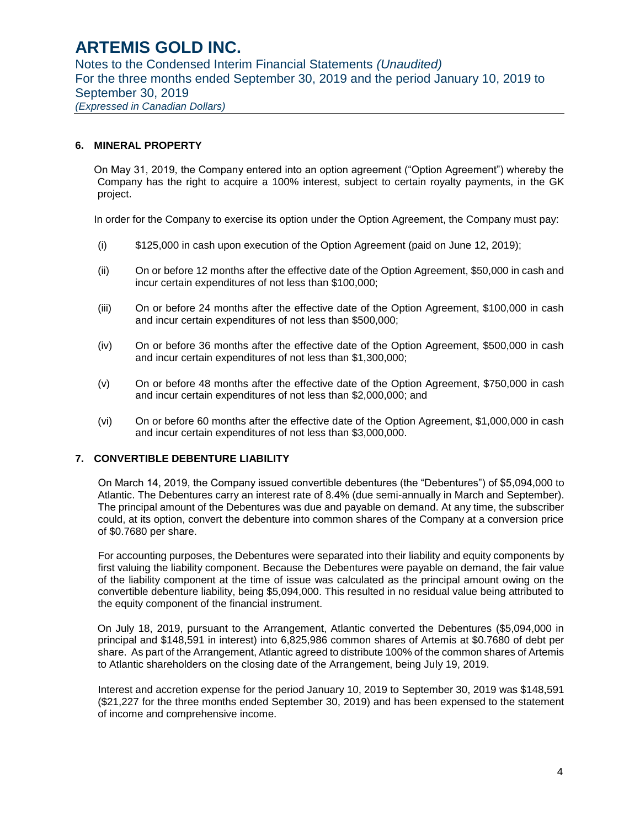Notes to the Condensed Interim Financial Statements *(Unaudited)* For the three months ended September 30, 2019 and the period January 10, 2019 to September 30, 2019 *(Expressed in Canadian Dollars)*

#### **6. MINERAL PROPERTY**

On May 31, 2019, the Company entered into an option agreement ("Option Agreement") whereby the Company has the right to acquire a 100% interest, subject to certain royalty payments, in the GK project.

In order for the Company to exercise its option under the Option Agreement, the Company must pay:

- (i) \$125,000 in cash upon execution of the Option Agreement (paid on June 12, 2019);
- (ii) On or before 12 months after the effective date of the Option Agreement, \$50,000 in cash and incur certain expenditures of not less than \$100,000;
- (iii) On or before 24 months after the effective date of the Option Agreement, \$100,000 in cash and incur certain expenditures of not less than \$500,000;
- (iv) On or before 36 months after the effective date of the Option Agreement, \$500,000 in cash and incur certain expenditures of not less than \$1,300,000;
- (v) On or before 48 months after the effective date of the Option Agreement, \$750,000 in cash and incur certain expenditures of not less than \$2,000,000; and
- (vi) On or before 60 months after the effective date of the Option Agreement, \$1,000,000 in cash and incur certain expenditures of not less than \$3,000,000.

#### **7. CONVERTIBLE DEBENTURE LIABILITY**

On March 14, 2019, the Company issued convertible debentures (the "Debentures") of \$5,094,000 to Atlantic. The Debentures carry an interest rate of 8.4% (due semi-annually in March and September). The principal amount of the Debentures was due and payable on demand. At any time, the subscriber could, at its option, convert the debenture into common shares of the Company at a conversion price of \$0.7680 per share.

For accounting purposes, the Debentures were separated into their liability and equity components by first valuing the liability component. Because the Debentures were payable on demand, the fair value of the liability component at the time of issue was calculated as the principal amount owing on the convertible debenture liability, being \$5,094,000. This resulted in no residual value being attributed to the equity component of the financial instrument.

On July 18, 2019, pursuant to the Arrangement, Atlantic converted the Debentures (\$5,094,000 in principal and \$148,591 in interest) into 6,825,986 common shares of Artemis at \$0.7680 of debt per share. As part of the Arrangement, Atlantic agreed to distribute 100% of the common shares of Artemis to Atlantic shareholders on the closing date of the Arrangement, being July 19, 2019.

Interest and accretion expense for the period January 10, 2019 to September 30, 2019 was \$148,591 (\$21,227 for the three months ended September 30, 2019) and has been expensed to the statement of income and comprehensive income.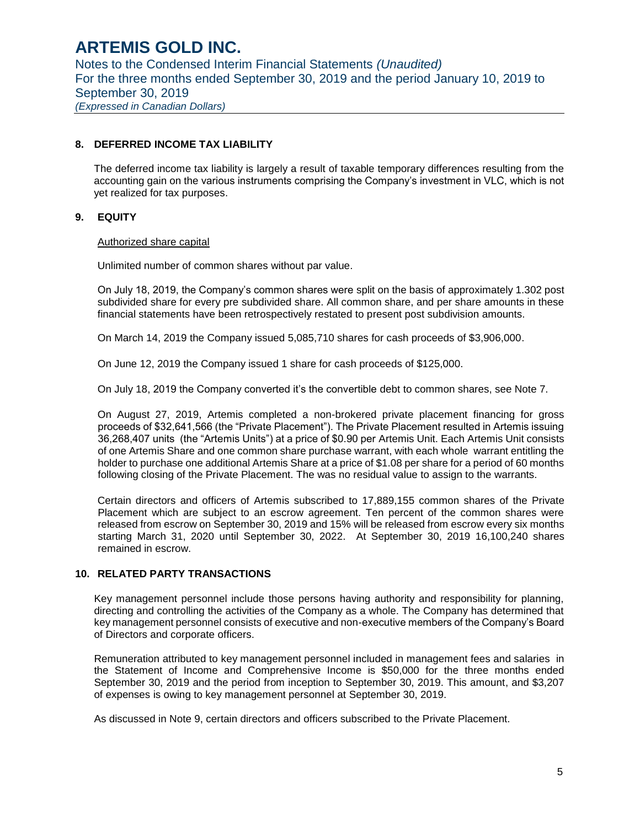Notes to the Condensed Interim Financial Statements *(Unaudited)* For the three months ended September 30, 2019 and the period January 10, 2019 to September 30, 2019 *(Expressed in Canadian Dollars)*

#### **8. DEFERRED INCOME TAX LIABILITY**

The deferred income tax liability is largely a result of taxable temporary differences resulting from the accounting gain on the various instruments comprising the Company's investment in VLC, which is not yet realized for tax purposes.

#### **9. EQUITY**

#### Authorized share capital

Unlimited number of common shares without par value.

On July 18, 2019, the Company's common shares were split on the basis of approximately 1.302 post subdivided share for every pre subdivided share. All common share, and per share amounts in these financial statements have been retrospectively restated to present post subdivision amounts.

On March 14, 2019 the Company issued 5,085,710 shares for cash proceeds of \$3,906,000.

On June 12, 2019 the Company issued 1 share for cash proceeds of \$125,000.

On July 18, 2019 the Company converted it's the convertible debt to common shares, see Note 7.

On August 27, 2019, Artemis completed a non-brokered private placement financing for gross proceeds of \$32,641,566 (the "Private Placement"). The Private Placement resulted in Artemis issuing 36,268,407 units (the "Artemis Units") at a price of \$0.90 per Artemis Unit. Each Artemis Unit consists of one Artemis Share and one common share purchase warrant, with each whole warrant entitling the holder to purchase one additional Artemis Share at a price of \$1.08 per share for a period of 60 months following closing of the Private Placement. The was no residual value to assign to the warrants.

Certain directors and officers of Artemis subscribed to 17,889,155 common shares of the Private Placement which are subject to an escrow agreement. Ten percent of the common shares were released from escrow on September 30, 2019 and 15% will be released from escrow every six months starting March 31, 2020 until September 30, 2022. At September 30, 2019 16,100,240 shares remained in escrow.

#### **10. RELATED PARTY TRANSACTIONS**

Key management personnel include those persons having authority and responsibility for planning, directing and controlling the activities of the Company as a whole. The Company has determined that key management personnel consists of executive and non-executive members of the Company's Board of Directors and corporate officers.

Remuneration attributed to key management personnel included in management fees and salaries in the Statement of Income and Comprehensive Income is \$50,000 for the three months ended September 30, 2019 and the period from inception to September 30, 2019. This amount, and \$3,207 of expenses is owing to key management personnel at September 30, 2019.

As discussed in Note 9, certain directors and officers subscribed to the Private Placement.